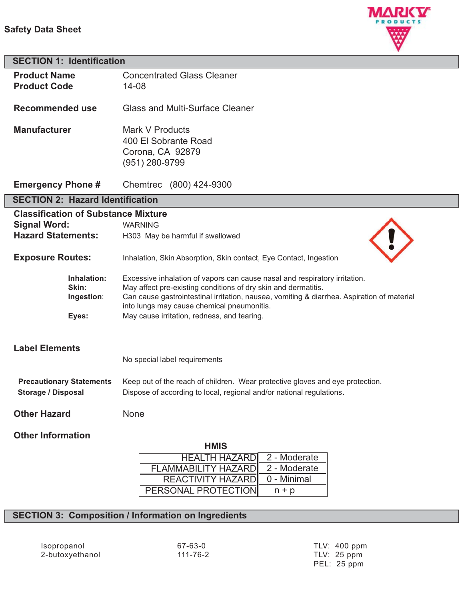### **Safety Data Sheet**



| <b>SECTION 1: Identification</b>           |                                                                                                                                          |
|--------------------------------------------|------------------------------------------------------------------------------------------------------------------------------------------|
| <b>Product Name</b>                        | <b>Concentrated Glass Cleaner</b>                                                                                                        |
| <b>Product Code</b>                        | $14 - 08$                                                                                                                                |
| <b>Recommended use</b>                     | <b>Glass and Multi-Surface Cleaner</b>                                                                                                   |
|                                            |                                                                                                                                          |
| <b>Manufacturer</b>                        | Mark V Products                                                                                                                          |
|                                            | 400 El Sobrante Road                                                                                                                     |
|                                            | Corona, CA 92879                                                                                                                         |
|                                            | (951) 280-9799                                                                                                                           |
| <b>Emergency Phone #</b>                   | Chemtrec (800) 424-9300                                                                                                                  |
| <b>SECTION 2: Hazard Identification</b>    |                                                                                                                                          |
| <b>Classification of Substance Mixture</b> |                                                                                                                                          |
| <b>Signal Word:</b>                        | <b>WARNING</b>                                                                                                                           |
| <b>Hazard Statements:</b>                  | H303 May be harmful if swallowed                                                                                                         |
| <b>Exposure Routes:</b>                    | Inhalation, Skin Absorption, Skin contact, Eye Contact, Ingestion                                                                        |
| Inhalation:                                | Excessive inhalation of vapors can cause nasal and respiratory irritation.                                                               |
| Skin:                                      | May affect pre-existing conditions of dry skin and dermatitis.                                                                           |
| Ingestion:                                 | Can cause gastrointestinal irritation, nausea, vomiting & diarrhea. Aspiration of material<br>into lungs may cause chemical pneumonitis. |
| Eyes:                                      | May cause irritation, redness, and tearing.                                                                                              |
|                                            |                                                                                                                                          |
| <b>Label Elements</b>                      |                                                                                                                                          |
|                                            | No special label requirements                                                                                                            |
|                                            |                                                                                                                                          |
| <b>Precautionary Statements</b>            | Keep out of the reach of children. Wear protective gloves and eye protection.                                                            |
| <b>Storage / Disposal</b>                  | Dispose of according to local, regional and/or national regulations.                                                                     |
| <b>Other Hazard</b>                        | None                                                                                                                                     |
|                                            |                                                                                                                                          |
| <b>Other Information</b>                   |                                                                                                                                          |
|                                            | <b>HMIS</b>                                                                                                                              |

| пічіэ                      |              |
|----------------------------|--------------|
| <b>HEALTH HAZARDI</b>      | 2 - Moderate |
| <b>FLAMMABILITY HAZARD</b> | 2 - Moderate |
| REACTIVITY HAZARD          | 0 - Minimal  |
| PERSONAL PROTECTION        | $n + p$      |

# **SECTION 3: Composition / Information on Ingredients**

Isopropanol 67-63-0 TLV: 400 ppm 2-butoxyethanol

PEL: 25 ppm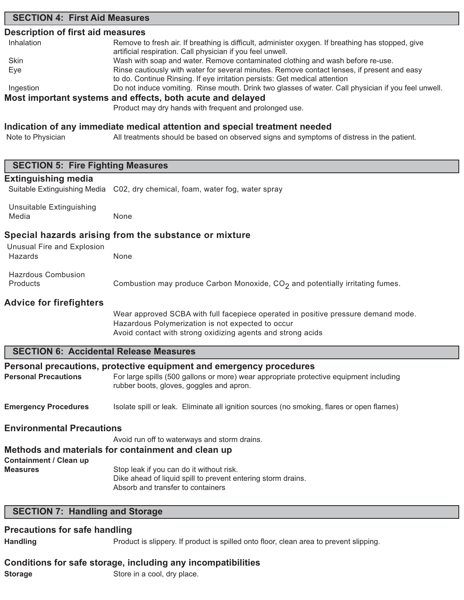### **SECTION 4: First Aid Measures**

### **Description of first aid measures**

| Inhalation | Remove to fresh air. If breathing is difficult, administer oxygen. If breathing has stopped, give   |
|------------|-----------------------------------------------------------------------------------------------------|
|            | artificial respiration. Call physician if you feel unwell.                                          |
| Skin       | Wash with soap and water. Remove contaminated clothing and wash before re-use.                      |
| Eye        | Rinse cautiously with water for several minutes. Remove contact lenses, if present and easy         |
|            | to do. Continue Rinsing. If eye irritation persists: Get medical attention                          |
| Ingestion  | Do not induce vomiting. Rinse mouth. Drink two glasses of water. Call physician if you feel unwell. |
|            | Most important systems and effects, both acute and delayed                                          |
|            | Product may dry hands with frequent and prolonged use.                                              |

### **Indication of any immediate medical attention and special treatment needed**

Note to Physician All treatments should be based on observed signs and symptoms of distress in the patient.

| <b>SECTION 5: Fire Fighting Measures</b>      |                                                                                           |
|-----------------------------------------------|-------------------------------------------------------------------------------------------|
| <b>Extinguishing media</b>                    |                                                                                           |
|                                               | Suitable Extinguishing Media C02, dry chemical, foam, water fog, water spray              |
|                                               |                                                                                           |
| Unsuitable Extinguishing                      |                                                                                           |
| Media                                         | None                                                                                      |
|                                               | Special hazards arising from the substance or mixture                                     |
| Unusual Fire and Explosion                    |                                                                                           |
| Hazards                                       | None                                                                                      |
|                                               |                                                                                           |
| <b>Hazrdous Combusion</b>                     |                                                                                           |
| Products                                      | Combustion may produce Carbon Monoxide, $CO2$ and potentially irritating fumes.           |
| <b>Advice for firefighters</b>                |                                                                                           |
|                                               | Wear approved SCBA with full facepiece operated in positive pressure demand mode.         |
|                                               | Hazardous Polymerization is not expected to occur                                         |
|                                               | Avoid contact with strong oxidizing agents and strong acids                               |
|                                               |                                                                                           |
| <b>SECTION 6: Accidental Release Measures</b> |                                                                                           |
|                                               | Personal precautions, protective equipment and emergency procedures                       |
| <b>Personal Precautions</b>                   | For large spills (500 gallons or more) wear appropriate protective equipment including    |
|                                               | rubber boots, gloves, goggles and apron.                                                  |
|                                               |                                                                                           |
| <b>Emergency Procedures</b>                   | Isolate spill or leak. Eliminate all ignition sources (no smoking, flares or open flames) |
|                                               |                                                                                           |
| <b>Environmental Precautions</b>              |                                                                                           |
|                                               | Avoid run off to waterways and storm drains.                                              |
|                                               | Methods and materials for containment and clean up                                        |
| <b>Containment / Clean up</b>                 |                                                                                           |
| <b>Measures</b>                               | Stop leak if you can do it without risk.                                                  |
|                                               | Dike ahead of liquid spill to prevent entering storm drains.                              |
|                                               | Absorb and transfer to containers                                                         |
| <b>SECTION 7: Handling and Storage</b>        |                                                                                           |
|                                               |                                                                                           |
| <b>Precautions for safe handling</b>          |                                                                                           |
| <b>Handling</b>                               | Product is slippery. If product is spilled onto floor, clean area to prevent slipping.    |

## **Conditions for safe storage, including any incompatibilities**

**Storage** Store in a cool, dry place.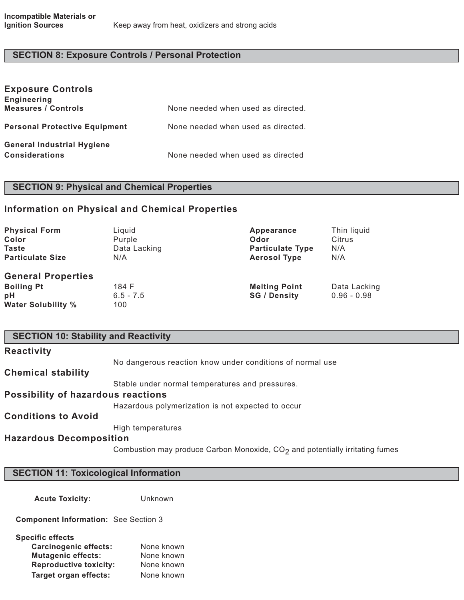# **SECTION 8: Exposure Controls / Personal Protection**

| <b>Exposure Controls</b><br><b>Engineering</b> |                                    |
|------------------------------------------------|------------------------------------|
| <b>Measures / Controls</b>                     | None needed when used as directed. |
| <b>Personal Protective Equipment</b>           | None needed when used as directed. |
| <b>General Industrial Hygiene</b>              |                                    |
| <b>Considerations</b>                          | None needed when used as directed  |

# **SECTION 9: Physical and Chemical Properties**

## **Information on Physical and Chemical Properties**

| <b>Physical Form</b>      | Liquid       | Appearance              | Thin liquid   |
|---------------------------|--------------|-------------------------|---------------|
| Color                     | Purple       | Odor                    | Citrus        |
| <b>Taste</b>              | Data Lacking | <b>Particulate Type</b> | N/A           |
| <b>Particulate Size</b>   | N/A          | <b>Aerosol Type</b>     | N/A           |
| <b>General Properties</b> |              |                         |               |
| <b>Boiling Pt</b>         | 184 F        | <b>Melting Point</b>    | Data Lacking  |
| рH                        | $6.5 - 7.5$  | <b>SG / Density</b>     | $0.96 - 0.98$ |
| <b>Water Solubility %</b> | 100          |                         |               |

| <b>SECTION 10: Stability and Reactivity</b> |                                                                                |  |
|---------------------------------------------|--------------------------------------------------------------------------------|--|
| <b>Reactivity</b>                           |                                                                                |  |
|                                             | No dangerous reaction know under conditions of normal use                      |  |
| <b>Chemical stability</b>                   |                                                                                |  |
|                                             | Stable under normal temperatures and pressures.                                |  |
| Possibility of hazardous reactions          |                                                                                |  |
|                                             | Hazardous polymerization is not expected to occur                              |  |
| <b>Conditions to Avoid</b>                  |                                                                                |  |
|                                             | High temperatures                                                              |  |
| <b>Hazardous Decomposition</b>              |                                                                                |  |
|                                             | Combustion may produce Carbon Monoxide, $CO2$ and potentially irritating fumes |  |

## **SECTION 11: Toxicological Information**

**Acute Toxicity:** Unknown

**Component Information:** See Section 3

| Specific effects              |            |
|-------------------------------|------------|
| <b>Carcinogenic effects:</b>  | None known |
| <b>Mutagenic effects:</b>     | None known |
| <b>Reproductive toxicity:</b> | None known |
| <b>Target organ effects:</b>  | None known |